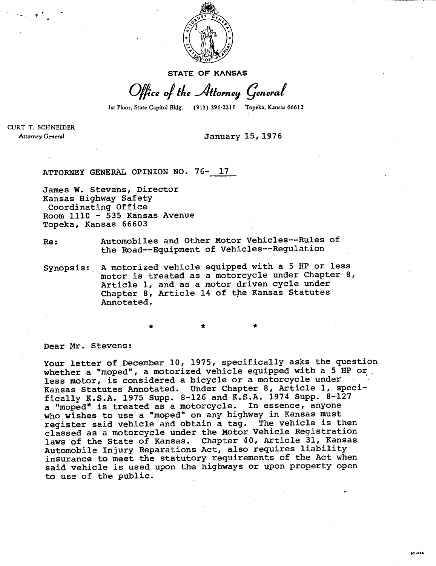

**STATE OF KANSAS** 

Office of the Attorney General

1st Floor, State Capitol Bldg. (913) 296-2215 Topeka, Kansas 66612

**CURT T. SCHNEIDER Attorney General** 

## **January 15, 1976**

**ATTORNEY GENERAL OPINION NO. 76- 17** 

\*

**James W. Stevens, Director Kansas Highway Safety Coordinating Office Room 1110 - 535 Kansas Avenue Topeka, Kansas 66603** 

**Re: Automobiles and Other Motor Vehicles--Rules of the Road--Equipment of Vehicles--Regulation** 

**Synopsis: A motorized vehicle equipped with a 5 HP or less motor is treated as a motorcycle under Chapter 8, Article 1, and as a motor driven cycle under Chapter 8, Article 14 of the Kansas Statutes Annotated.** 

**Dear Mr. Stevens:** 

**Your letter of December 10, 1975, specifically asks the question whether a "moped", a motorized vehicle equipped with a 5 HP or less motor, is considered a bicycle or a motorcycle under Kansas Statutes Annotated. Under Chapter 8, Article 1, specifically K.S.A. 1975 Supp. 8-126 and K.S.A. 1974 Supp. 8-127 a "moped" is treated as a motorcycle. In essence, anyone who wishes to use a "moped" on any highway in Kansas must register said vehicle and obtain a tag. The vehicle is then classed as a motorcycle under the Motor Vehicle Registration laws of the State of Kansas. Chapter 40, Article 31, Kansas Automobile Injury Reparations Act, also requires liability insurance to meet the statutory requirements of the Act when said vehicle is used upon the highways or upon property open to use of the public.**